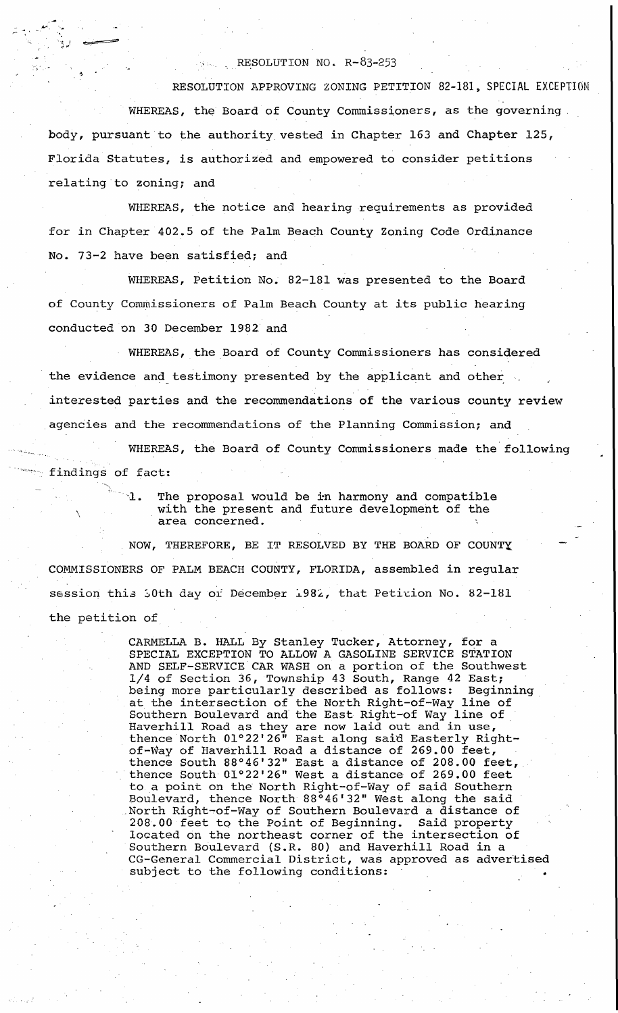## RESOLUTION NO. R-83-253

RESOLUTION APPROVING ZONING PETITION 82-181, SPECIAL EXCEPTION WHEREAS, the Board of County Commissioners, as the governing body, pursuant to the authority vested in Chapter 163 and Chapter 125, Florida Statutes, is authorized and empowered to consider petitions relating to zoning; and

WHEREAS, the notice and hearing requirements as provided for in Chapter 402.5 of the Palm Beach County Zoning Code Ordinance No. 73-2 have been satisfied; and

WHEREAS, Petition No. 82-181 was presented to the Board of County Commissioners of Palm Beach County at its public hearing conducted on 30 December 1982. and

WHEREAS, the Board of County Commissioners has considered the evidence and testimony presented by the applicant and other interested parties and the recommendations of the various county review agencies and the recommendations of the Planning Commission; and

WHEREAS, the Board of County Commissioners made the following findings of fact:

> -I. The proposal would be *i:n* harmony and compatible with the present and future development of the area concerned.

NOW, THEREFORE, BE IT RESOLVED BY THE BOARD OF COUNTY. COMMISSIONERS OF PALM BEACH COUNTY, FLORIDA, assembled in regular session this 50th day or December 1982, that Peticion No. 82-181 the petition of

\

CARMELLA B. HALL By Stanley Tucker, Attorney, for a SPECIAL EXCEPTION TO ALLOW A GASOLINE SERVICE STATION AND SELF-SERVICE CAR WASH on a portion of the Southwest 1/4 of Section 36, Township 43 South, Range 42 East; being more particularly described as follows: Beginning at the intersection of the North Right-of-Way line of as the included critical control magneter way time of . Haverhill Road as they are now laid out and in use, thence North 01°22'26" East along said Easterly Rightof-Way of Haverhill Road a distance of 269.00 feet, thence South 88°46'32" East a distance of 208.00 feet, thence South 01°22'26" West a distance of 269.00 feet to a point on the North Right-of-Way of said Southern Boulevard, thence North 88°46'32" West along the said North Right~of-Way of Southern Boulevard a distance of 208.00 feet to the Point of Beginning. Said property located on the northeast corner of the intersection of Southern Boulevard (S.R. 80) and Haverhill Road in a CG-General Commercial District, was approved as advertised subject to the following conditions: